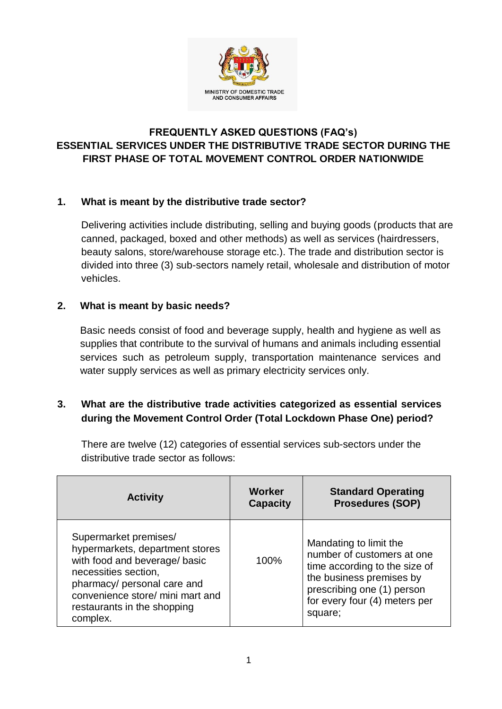

# **FREQUENTLY ASKED QUESTIONS (FAQ's) ESSENTIAL SERVICES UNDER THE DISTRIBUTIVE TRADE SECTOR DURING THE FIRST PHASE OF TOTAL MOVEMENT CONTROL ORDER NATIONWIDE**

### **1. What is meant by the distributive trade sector?**

Delivering activities include distributing, selling and buying goods (products that are canned, packaged, boxed and other methods) as well as services (hairdressers, beauty salons, store/warehouse storage etc.). The trade and distribution sector is divided into three (3) sub-sectors namely retail, wholesale and distribution of motor vehicles.

### **2. What is meant by basic needs?**

Basic needs consist of food and beverage supply, health and hygiene as well as supplies that contribute to the survival of humans and animals including essential services such as petroleum supply, transportation maintenance services and water supply services as well as primary electricity services only.

# **3. What are the distributive trade activities categorized as essential services during the Movement Control Order (Total Lockdown Phase One) period?**

There are twelve (12) categories of essential services sub-sectors under the distributive trade sector as follows:

| <b>Activity</b>                                                                                                                                                                                                                 | <b>Worker</b><br><b>Capacity</b> | <b>Standard Operating</b><br><b>Prosedures (SOP)</b>                                                                                                                                        |
|---------------------------------------------------------------------------------------------------------------------------------------------------------------------------------------------------------------------------------|----------------------------------|---------------------------------------------------------------------------------------------------------------------------------------------------------------------------------------------|
| Supermarket premises/<br>hypermarkets, department stores<br>with food and beverage/ basic<br>necessities section,<br>pharmacy/ personal care and<br>convenience store/ mini mart and<br>restaurants in the shopping<br>complex. | 100%                             | Mandating to limit the<br>number of customers at one<br>time according to the size of<br>the business premises by<br>prescribing one (1) person<br>for every four (4) meters per<br>square; |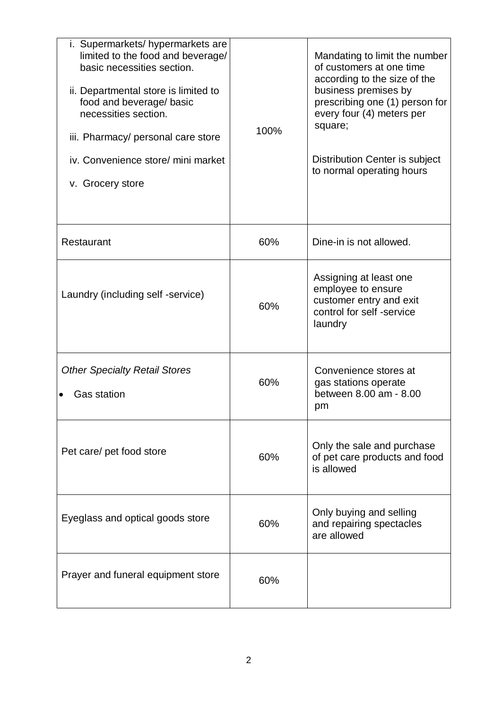| i. Supermarkets/hypermarkets are<br>limited to the food and beverage/<br>basic necessities section.<br>ii. Departmental store is limited to<br>food and beverage/ basic<br>necessities section.<br>iii. Pharmacy/ personal care store<br>iv. Convenience store/ mini market<br>v. Grocery store | 100% | Mandating to limit the number<br>of customers at one time<br>according to the size of the<br>business premises by<br>prescribing one (1) person for<br>every four (4) meters per<br>square;<br>Distribution Center is subject<br>to normal operating hours |
|-------------------------------------------------------------------------------------------------------------------------------------------------------------------------------------------------------------------------------------------------------------------------------------------------|------|------------------------------------------------------------------------------------------------------------------------------------------------------------------------------------------------------------------------------------------------------------|
| Restaurant                                                                                                                                                                                                                                                                                      | 60%  | Dine-in is not allowed.                                                                                                                                                                                                                                    |
| Laundry (including self -service)                                                                                                                                                                                                                                                               | 60%  | Assigning at least one<br>employee to ensure<br>customer entry and exit<br>control for self -service<br>laundry                                                                                                                                            |
| <b>Other Specialty Retail Stores</b><br><b>Gas station</b>                                                                                                                                                                                                                                      | 60%  | Convenience stores at<br>gas stations operate<br>between 8.00 am - 8.00<br>pm                                                                                                                                                                              |
| Pet care/ pet food store                                                                                                                                                                                                                                                                        | 60%  | Only the sale and purchase<br>of pet care products and food<br>is allowed                                                                                                                                                                                  |
| Eyeglass and optical goods store                                                                                                                                                                                                                                                                | 60%  | Only buying and selling<br>and repairing spectacles<br>are allowed                                                                                                                                                                                         |
| Prayer and funeral equipment store                                                                                                                                                                                                                                                              | 60%  |                                                                                                                                                                                                                                                            |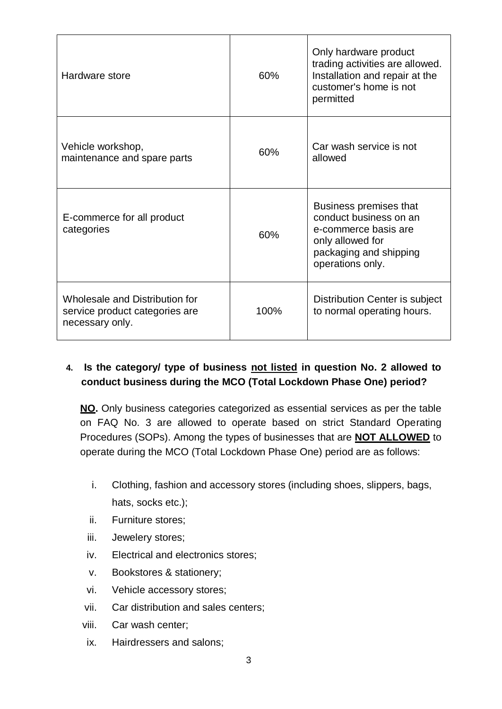| Hardware store                                                                      | 60%  | Only hardware product<br>trading activities are allowed.<br>Installation and repair at the<br>customer's home is not<br>permitted          |
|-------------------------------------------------------------------------------------|------|--------------------------------------------------------------------------------------------------------------------------------------------|
| Vehicle workshop,<br>maintenance and spare parts                                    | 60%  | Car wash service is not<br>allowed                                                                                                         |
| E-commerce for all product<br>categories                                            | 60%  | Business premises that<br>conduct business on an<br>e-commerce basis are<br>only allowed for<br>packaging and shipping<br>operations only. |
| Wholesale and Distribution for<br>service product categories are<br>necessary only. | 100% | Distribution Center is subject<br>to normal operating hours.                                                                               |

### **4. Is the category/ type of business not listed in question No. 2 allowed to conduct business during the MCO (Total Lockdown Phase One) period?**

**NO.** Only business categories categorized as essential services as per the table on FAQ No. 3 are allowed to operate based on strict Standard Operating Procedures (SOPs). Among the types of businesses that are **NOT ALLOWED** to operate during the MCO (Total Lockdown Phase One) period are as follows:

- i. Clothing, fashion and accessory stores (including shoes, slippers, bags, hats, socks etc.);
- ii. Furniture stores;
- iii. Jewelery stores;
- iv. Electrical and electronics stores;
- v. Bookstores & stationery;
- vi. Vehicle accessory stores;
- vii. Car distribution and sales centers;
- viii. Car wash center;
- ix. Hairdressers and salons;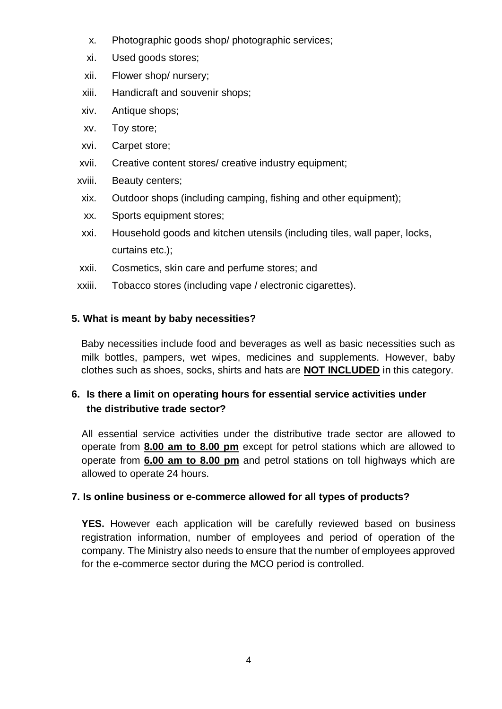- x. Photographic goods shop/ photographic services;
- xi. Used goods stores;
- xii. Flower shop/ nursery;
- xiii. Handicraft and souvenir shops;
- xiv. Antique shops;
- xv. Toy store;
- xvi. Carpet store;
- xvii. Creative content stores/ creative industry equipment;
- xviii. Beauty centers;
- xix. Outdoor shops (including camping, fishing and other equipment);
- xx. Sports equipment stores;
- xxi. Household goods and kitchen utensils (including tiles, wall paper, locks, curtains etc.);
- xxii. Cosmetics, skin care and perfume stores; and
- xxiii. Tobacco stores (including vape / electronic cigarettes).

### **5. What is meant by baby necessities?**

Baby necessities include food and beverages as well as basic necessities such as milk bottles, pampers, wet wipes, medicines and supplements. However, baby clothes such as shoes, socks, shirts and hats are **NOT INCLUDED** in this category.

# **6. Is there a limit on operating hours for essential service activities under the distributive trade sector?**

All essential service activities under the distributive trade sector are allowed to operate from **8.00 am to 8.00 pm** except for petrol stations which are allowed to operate from **6.00 am to 8.00 pm** and petrol stations on toll highways which are allowed to operate 24 hours.

### **7. Is online business or e-commerce allowed for all types of products?**

**YES.** However each application will be carefully reviewed based on business registration information, number of employees and period of operation of the company. The Ministry also needs to ensure that the number of employees approved for the e-commerce sector during the MCO period is controlled.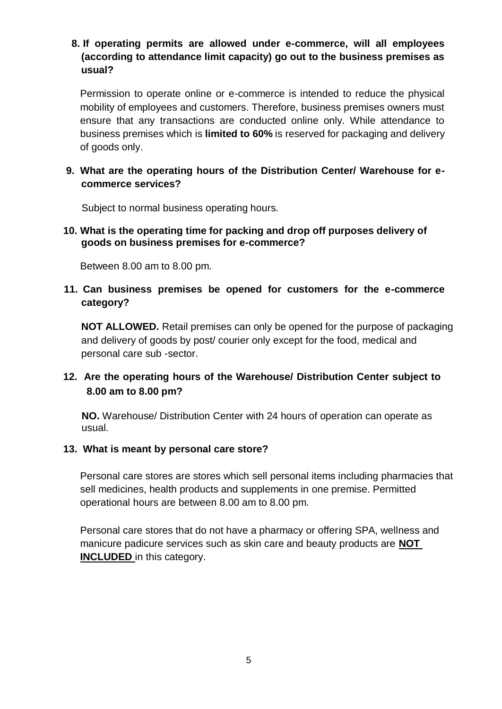### **8. If operating permits are allowed under e-commerce, will all employees (according to attendance limit capacity) go out to the business premises as usual?**

Permission to operate online or e-commerce is intended to reduce the physical mobility of employees and customers. Therefore, business premises owners must ensure that any transactions are conducted online only. While attendance to business premises which is **limited to 60%** is reserved for packaging and delivery of goods only.

### **9. What are the operating hours of the Distribution Center/ Warehouse for ecommerce services?**

Subject to normal business operating hours.

#### **10. What is the operating time for packing and drop off purposes delivery of goods on business premises for e-commerce?**

Between 8.00 am to 8.00 pm.

### **11. Can business premises be opened for customers for the e-commerce category?**

**NOT ALLOWED.** Retail premises can only be opened for the purpose of packaging and delivery of goods by post/ courier only except for the food, medical and personal care sub -sector.

# **12. Are the operating hours of the Warehouse/ Distribution Center subject to 8.00 am to 8.00 pm?**

**NO.** Warehouse/ Distribution Center with 24 hours of operation can operate as usual.

### **13. What is meant by personal care store?**

Personal care stores are stores which sell personal items including pharmacies that sell medicines, health products and supplements in one premise. Permitted operational hours are between 8.00 am to 8.00 pm.

Personal care stores that do not have a pharmacy or offering SPA, wellness and manicure padicure services such as skin care and beauty products are **NOT INCLUDED** in this category.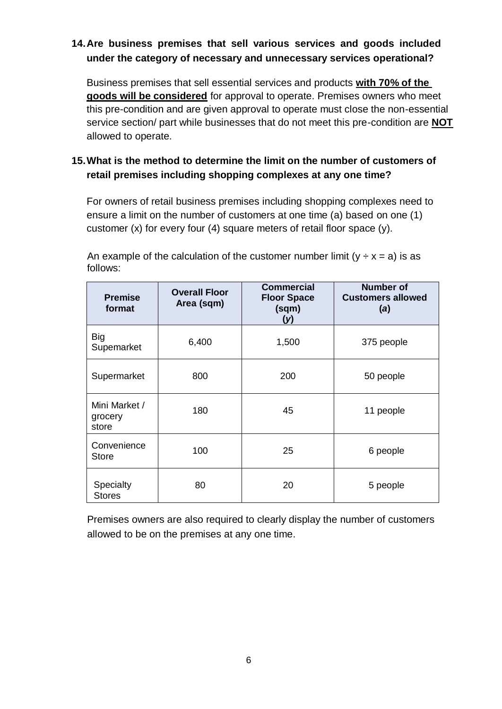# **14.Are business premises that sell various services and goods included under the category of necessary and unnecessary services operational?**

Business premises that sell essential services and products **with 70% of the goods will be considered** for approval to operate. Premises owners who meet this pre-condition and are given approval to operate must close the non-essential service section/ part while businesses that do not meet this pre-condition are **NOT** allowed to operate.

# **15.What is the method to determine the limit on the number of customers of retail premises including shopping complexes at any one time?**

For owners of retail business premises including shopping complexes need to ensure a limit on the number of customers at one time (a) based on one (1) customer (x) for every four (4) square meters of retail floor space (y).

An example of the calculation of the customer number limit  $(y \div x = a)$  is as follows:

| <b>Premise</b><br>format          | <b>Overall Floor</b><br>Area (sqm) | <b>Commercial</b><br><b>Floor Space</b><br>(sqm)<br>(y) | <b>Number of</b><br><b>Customers allowed</b><br>(a) |
|-----------------------------------|------------------------------------|---------------------------------------------------------|-----------------------------------------------------|
| <b>Big</b><br>Supemarket          | 6,400                              | 1,500                                                   | 375 people                                          |
| Supermarket                       | 800                                | 200                                                     | 50 people                                           |
| Mini Market /<br>grocery<br>store | 180                                | 45                                                      | 11 people                                           |
| Convenience<br><b>Store</b>       | 100                                | 25                                                      | 6 people                                            |
| Specialty<br><b>Stores</b>        | 80                                 | 20                                                      | 5 people                                            |

Premises owners are also required to clearly display the number of customers allowed to be on the premises at any one time.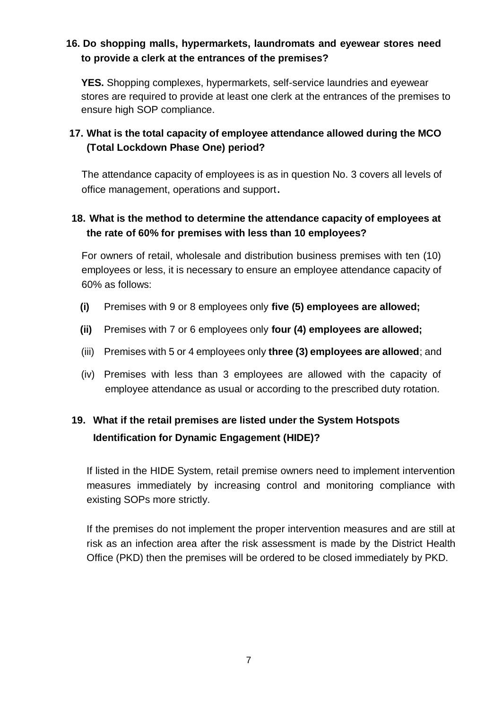# **16. Do shopping malls, hypermarkets, laundromats and eyewear stores need to provide a clerk at the entrances of the premises?**

**YES.** Shopping complexes, hypermarkets, self-service laundries and eyewear stores are required to provide at least one clerk at the entrances of the premises to ensure high SOP compliance.

# **17. What is the total capacity of employee attendance allowed during the MCO (Total Lockdown Phase One) period?**

The attendance capacity of employees is as in question No. 3 covers all levels of office management, operations and support.

# **18. What is the method to determine the attendance capacity of employees at the rate of 60% for premises with less than 10 employees?**

For owners of retail, wholesale and distribution business premises with ten (10) employees or less, it is necessary to ensure an employee attendance capacity of 60% as follows:

- **(i)** Premises with 9 or 8 employees only **five (5) employees are allowed;**
- **(ii)** Premises with 7 or 6 employees only **four (4) employees are allowed;**
- (iii) Premises with 5 or 4 employees only **three (3) employees are allowed**; and
- (iv) Premises with less than 3 employees are allowed with the capacity of employee attendance as usual or according to the prescribed duty rotation.

# **19. What if the retail premises are listed under the System Hotspots Identification for Dynamic Engagement (HIDE)?**

If listed in the HIDE System, retail premise owners need to implement intervention measures immediately by increasing control and monitoring compliance with existing SOPs more strictly.

If the premises do not implement the proper intervention measures and are still at risk as an infection area after the risk assessment is made by the District Health Office (PKD) then the premises will be ordered to be closed immediately by PKD.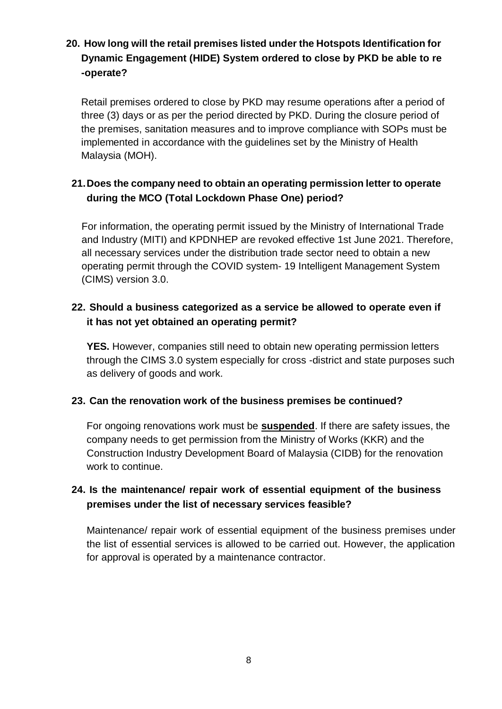# **20. How long will the retail premises listed under the Hotspots Identification for Dynamic Engagement (HIDE) System ordered to close by PKD be able to re -operate?**

Retail premises ordered to close by PKD may resume operations after a period of three (3) days or as per the period directed by PKD. During the closure period of the premises, sanitation measures and to improve compliance with SOPs must be implemented in accordance with the guidelines set by the Ministry of Health Malaysia (MOH).

# **21.Does the company need to obtain an operating permission letter to operate during the MCO (Total Lockdown Phase One) period?**

For information, the operating permit issued by the Ministry of International Trade and Industry (MITI) and KPDNHEP are revoked effective 1st June 2021. Therefore, all necessary services under the distribution trade sector need to obtain a new operating permit through the COVID system- 19 Intelligent Management System (CIMS) version 3.0.

# **22. Should a business categorized as a service be allowed to operate even if it has not yet obtained an operating permit?**

**YES.** However, companies still need to obtain new operating permission letters through the CIMS 3.0 system especially for cross -district and state purposes such as delivery of goods and work.

### **23. Can the renovation work of the business premises be continued?**

For ongoing renovations work must be **suspended**. If there are safety issues, the company needs to get permission from the Ministry of Works (KKR) and the Construction Industry Development Board of Malaysia (CIDB) for the renovation work to continue.

# **24. Is the maintenance/ repair work of essential equipment of the business premises under the list of necessary services feasible?**

Maintenance/ repair work of essential equipment of the business premises under the list of essential services is allowed to be carried out. However, the application for approval is operated by a maintenance contractor.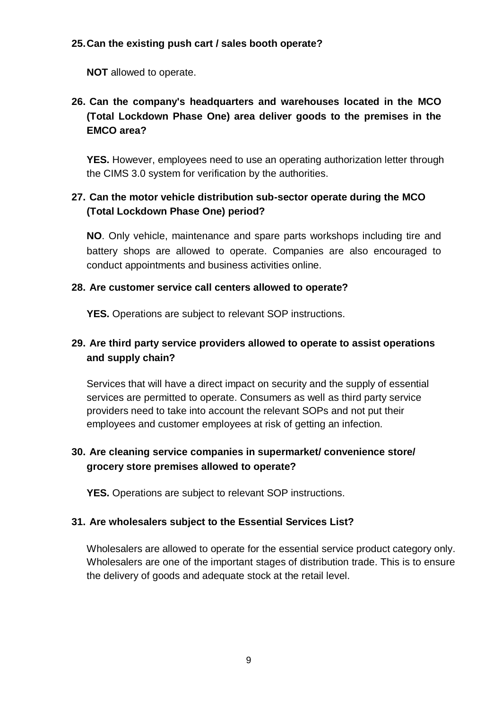### **25.Can the existing push cart / sales booth operate?**

**NOT** allowed to operate.

# **26. Can the company's headquarters and warehouses located in the MCO (Total Lockdown Phase One) area deliver goods to the premises in the EMCO area?**

**YES.** However, employees need to use an operating authorization letter through the CIMS 3.0 system for verification by the authorities.

# **27. Can the motor vehicle distribution sub-sector operate during the MCO (Total Lockdown Phase One) period?**

**NO**. Only vehicle, maintenance and spare parts workshops including tire and battery shops are allowed to operate. Companies are also encouraged to conduct appointments and business activities online.

### **28. Are customer service call centers allowed to operate?**

**YES.** Operations are subject to relevant SOP instructions.

# **29. Are third party service providers allowed to operate to assist operations and supply chain?**

Services that will have a direct impact on security and the supply of essential services are permitted to operate. Consumers as well as third party service providers need to take into account the relevant SOPs and not put their employees and customer employees at risk of getting an infection.

# **30. Are cleaning service companies in supermarket/ convenience store/ grocery store premises allowed to operate?**

**YES.** Operations are subject to relevant SOP instructions.

### **31. Are wholesalers subject to the Essential Services List?**

Wholesalers are allowed to operate for the essential service product category only. Wholesalers are one of the important stages of distribution trade. This is to ensure the delivery of goods and adequate stock at the retail level.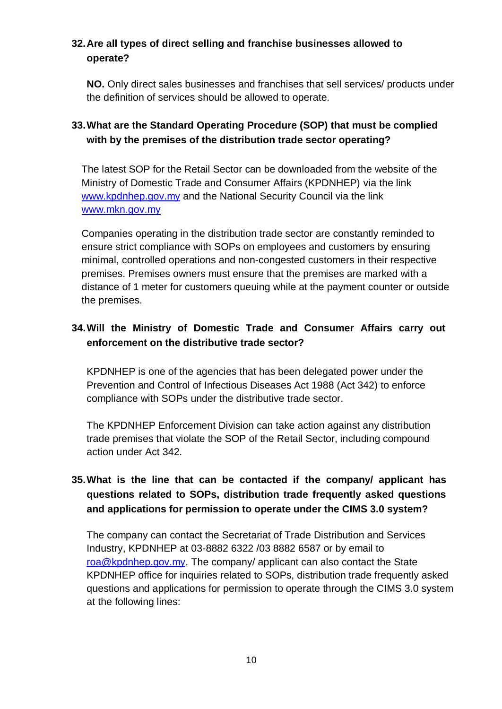# **32.Are all types of direct selling and franchise businesses allowed to operate?**

**NO.** Only direct sales businesses and franchises that sell services/ products under the definition of services should be allowed to operate.

# **33.What are the Standard Operating Procedure (SOP) that must be complied with by the premises of the distribution trade sector operating?**

The latest SOP for the Retail Sector can be downloaded from the website of the Ministry of Domestic Trade and Consumer Affairs (KPDNHEP) via the link [www.kpdnhep.gov.my](http://www.kpdnhep.gov.my/) and the National Security Council via the link [www.mkn.gov.my](http://www.mkn.gov.my/)

Companies operating in the distribution trade sector are constantly reminded to ensure strict compliance with SOPs on employees and customers by ensuring minimal, controlled operations and non-congested customers in their respective premises. Premises owners must ensure that the premises are marked with a distance of 1 meter for customers queuing while at the payment counter or outside the premises.

# **34.Will the Ministry of Domestic Trade and Consumer Affairs carry out enforcement on the distributive trade sector?**

KPDNHEP is one of the agencies that has been delegated power under the Prevention and Control of Infectious Diseases Act 1988 (Act 342) to enforce compliance with SOPs under the distributive trade sector.

The KPDNHEP Enforcement Division can take action against any distribution trade premises that violate the SOP of the Retail Sector, including compound action under Act 342.

# **35.What is the line that can be contacted if the company/ applicant has questions related to SOPs, distribution trade frequently asked questions and applications for permission to operate under the CIMS 3.0 system?**

The company can contact the Secretariat of Trade Distribution and Services Industry, KPDNHEP at 03-8882 6322 /03 8882 6587 or by email to [roa@kpdnhep.gov.my.](mailto:roa@kpdnhep.gov.my) The company/ applicant can also contact the State KPDNHEP office for inquiries related to SOPs, distribution trade frequently asked questions and applications for permission to operate through the CIMS 3.0 system at the following lines: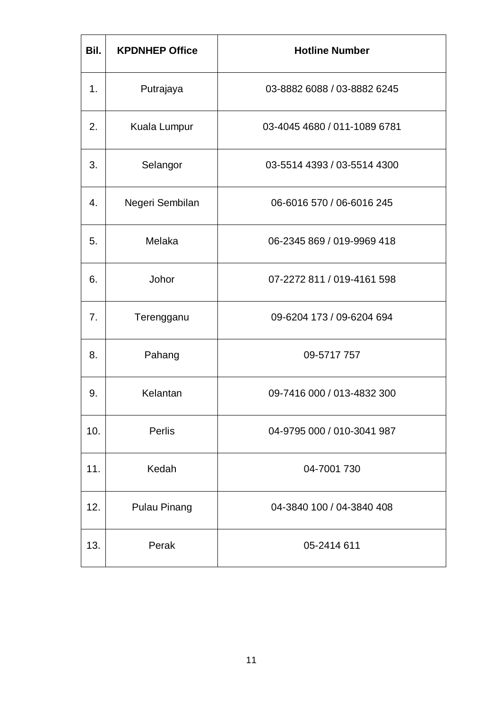| Bil. | <b>KPDNHEP Office</b> | <b>Hotline Number</b>        |
|------|-----------------------|------------------------------|
| 1.   | Putrajaya             | 03-8882 6088 / 03-8882 6245  |
| 2.   | Kuala Lumpur          | 03-4045 4680 / 011-1089 6781 |
| 3.   | Selangor              | 03-5514 4393 / 03-5514 4300  |
| 4.   | Negeri Sembilan       | 06-6016 570 / 06-6016 245    |
| 5.   | Melaka                | 06-2345 869 / 019-9969 418   |
| 6.   | Johor                 | 07-2272 811 / 019-4161 598   |
| 7.   | Terengganu            | 09-6204 173 / 09-6204 694    |
| 8.   | Pahang                | 09-5717 757                  |
| 9.   | Kelantan              | 09-7416 000 / 013-4832 300   |
| 10.  | Perlis                | 04-9795 000 / 010-3041 987   |
| 11.  | Kedah                 | 04-7001 730                  |
| 12.  | <b>Pulau Pinang</b>   | 04-3840 100 / 04-3840 408    |
| 13.  | Perak                 | 05-2414 611                  |